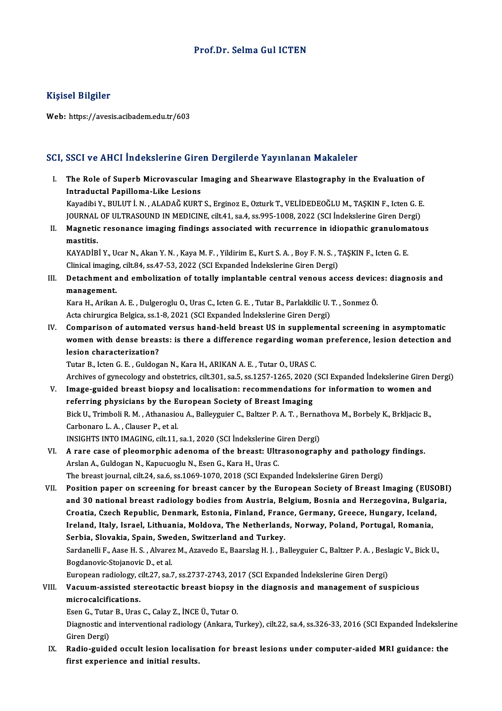### Prof.Dr. Selma Gul ICTEN

### Kişisel Bilgiler

Web: https://avesis.acibadem.edu.tr/603

### SCI, SSCI ve AHCI İndekslerine Giren Dergilerde Yayınlanan Makaleler

- CI, SSCI ve AHCI İndekslerine Giren Dergilerde Yayınlanan Makaleler<br>I. The Role of Superb Microvascular Imaging and Shearwave Elastography in the Evaluation of<br>Intraductal Banillama Like Lesians The Role of Superb Microvascular I<br>Intraductal Papilloma-Like Lesions<br>Vavadibi V. PULUT İ.N. ALADAĞ KUPT The Role of Superb Microvascular Imaging and Shearwave Elastography in the Evaluation of<br>Intraductal Papilloma-Like Lesions<br>Kayadibi Y., BULUT İ.N. , ALADAĞ KURT S., Erginoz E., Ozturk T., VELİDEDEOĞLU M., TAŞKIN F., Icten I<mark>ntraductal Papilloma-Like Lesions</mark><br>Kayadibi Y., BULUT İ. N. , ALADAĞ KURT S., Erginoz E., Ozturk T., VELİDEDEOĞLU M., TAŞKIN F., Icten G. E<br>JOURNAL OF ULTRASOUND IN MEDICINE, cilt.41, sa.4, ss.995-1008, 2022 (SCI İndeksl Kayadibi Y., BULUT İ. N. , ALADAĞ KURT S., Erginoz E., Ozturk T., VELİDEDEOĞLU M., TAŞKIN F., Icten G. E.<br>JOURNAL OF ULTRASOUND IN MEDICINE, cilt.41, sa.4, ss.995-1008, 2022 (SCI İndekslerine Giren Dergi)<br>II. Magnetic reso
- JOURNAL<br><mark>Magnetio</mark><br>mastitis.<br>KAVAD<sup>ip</sup> II. Magnetic resonance imaging findings associated with recurrence in idiopathic granulomatous<br>mastitis.<br>KAYADİBİ Y., Ucar N., Akan Y. N., Kaya M. F., Yildirim E., Kurt S. A., Boy F. N. S., TAŞKIN F., Icten G. E.<br>Clinical

KAYADIBI Y., Ucar N., Akan Y. N., Kaya M. F., Yildirim E., Kurt S. A., Boy F. N. S., TAŞKIN F., Icten G. E.

III. Detachment and embolization of totally implantable central venous access devices: diagnosis and management. Detachment and embolization of totally implantable central venous access device<br>management.<br>Kara H., Arikan A.E. , Dulgeroglu O., Uras C., Icten G.E. , Tutar B., Parlakkilic U.T. , Sonmez Ö.<br>Aste ebinungian Belgian se 1, 8

management.<br>Kara H., Arikan A. E. , Dulgeroglu O., Uras C., Icten G. E. , Tutar B., Parlakkilic U. '<br>Acta chirurgica Belgica, ss.1-8, 2021 (SCI Expanded İndekslerine Giren Dergi)<br>Companison of outomated yoneya band beld br

Kara H., Arikan A. E. , Dulgeroglu O., Uras C., Icten G. E. , Tutar B., Parlakkilic U. T. , Sonmez Ö.<br>Acta chirurgica Belgica, ss.1-8, 2021 (SCI Expanded Indekslerine Giren Dergi)<br>IV. Comparison of automated versus hand-he Acta chirurgica Belgica, ss.1-8, 2021 (SCI Expanded İndekslerine Giren Dergi)<br>Comparison of automated versus hand-held breast US in supplemental screening in asymptomatic<br>women with dense breasts: is there a difference reg Comparison of automate<br>women with dense breas<br>lesion characterization?<br>Tutar B. Istan G. E. Culdes women with dense breasts: is there a difference regarding woma<br>lesion characterization?<br>Tutar B., Icten G. E. , Guldogan N., Kara H., ARIKAN A. E. , Tutar O., URAS C.<br>Archives of gynecology and obstatrics silt 201, so 5, s

lesion characterization?<br>Tutar B., Icten G. E. , Guldogan N., Kara H., ARIKAN A. E. , Tutar O., URAS C.<br>Archives of gynecology and obstetrics, cilt.301, sa.5, ss.1257-1265, 2020 (SCI Expanded İndekslerine Giren Dergi)

- Tutar B., Icten G. E., Guldogan N., Kara H., ARIKAN A. E., Tutar O., URAS C.<br>Archives of gynecology and obstetrics, cilt.301, sa.5, ss.1257-1265, 2020 (SCI Expanded Indekslerine Giren I<br>V. Image-guided breast biopsy and lo Archives of gynecology and obstetrics, cilt.301, sa.5, ss.1257-1265, 2020<br>Image-guided breast biopsy and localisation: recommendations<br>referring physicians by the European Society of Breast Imaging<br>Pick U. Trimboli P. M., Image-guided breast biopsy and localisation: recommendations for information to women and<br>referring physicians by the European Society of Breast Imaging<br>Bick U., Trimboli R. M. , Athanasiou A., Balleyguier C., Baltzer P. A referring physicians by the E<br>Bick U., Trimboli R. M. , Athanasio<br>Carbonaro L. A. , Clauser P., et al.<br>INSICUTS INTO IMACING silt 11 Bick U., Trimboli R. M. , Athanasiou A., Balleyguier C., Baltzer P. A. T. , Bernat<br>Carbonaro L. A. , Clauser P., et al.<br>INSIGHTS INTO IMAGING, cilt.11, sa.1, 2020 (SCI İndekslerine Giren Dergi)<br>A. rare. sase of pleomernhis Carbonaro L. A., Clauser P., et al.<br>INSIGHTS INTO IMAGING, cilt.11, sa.1, 2020 (SCI Indekslerine Giren Dergi)<br>VI. A rare case of pleomorphic adenoma of the breast: Ultrasonography and pathology findings.
- INSIGHTS INTO IMAGING, cilt.11, sa.1, 2020 (SCI İndekslerine C<br>A rare case of pleomorphic adenoma of the breast: Ultr<br>Arslan A., Guldogan N., Kapucuoglu N., Esen G., Kara H., Uras C.<br>The breast journal silt 24, se 6, ss 10 A rare case of pleomorphic adenoma of the breast: Ultrasonography and patholog<br>Arslan A., Guldogan N., Kapucuoglu N., Esen G., Kara H., Uras C.<br>The breast journal, cilt.24, sa.6, ss.1069-1070, 2018 (SCI Expanded İndeksleri

Arslan A., Guldogan N., Kapucuoglu N., Esen G., Kara H., Uras C.<br>The breast journal, cilt.24, sa.6, ss.1069-1070, 2018 (SCI Expanded Indekslerine Giren Dergi)<br>VII. Position paper on screening for breast cancer by the Europ The breast journal, cilt.24, sa.6, ss.1069-1070, 2018 (SCI Expanded Indekslerine Giren Dergi)<br>Position paper on screening for breast cancer by the European Society of Breast Imaging (EUSOBI<br>and 30 national breast radiology Position paper on screening for breast cancer by the European Society of Breast Imaging (EUSC)<br>and 30 national breast radiology bodies from Austria, Belgium, Bosnia and Herzegovina, Bulgar<br>Croatia, Czech Republic, Denmark, and 30 national breast radiology bodies from Austria, Belgium, Bosnia and Herzegovina, Bulgaria,<br>Croatia, Czech Republic, Denmark, Estonia, Finland, France, Germany, Greece, Hungary, Iceland,<br>Ireland, Italy, Israel, Lithua Croatia, Czech Republic, Denmark, Estonia, Finland, France, Germany, Greece, Hungary, Iceland, Ireland, Italy, Israel, Lithuania, Moldova, The Netherlands, Norway, Poland, Portugal, Romania,<br>Serbia, Slovakia, Spain, Sweden, Switzerland and Turkey.<br>Sardanelli F., Aase H. S. , Alvarez M., Azavedo E., Baarslag H. J. , Serbia, Slovakia, Spain, Swe<br>Sardanelli F., Aase H. S. , Alvare:<br>Bogdanovic-Stojanovic D., et al.<br>European radiology, cilt 27, co.<sup>7</sup> Sardanelli F., Aase H. S. , Alvarez M., Azavedo E., Baarslag H. J. , Balleyguier C., Baltzer P. A. , Besl<br>Bogdanovic-Stojanovic D., et al.<br>European radiology, cilt.27, sa.7, ss.2737-2743, 2017 (SCI Expanded İndekslerine Gi

European radiology, cilt.27, sa.7, ss.2737-2743, 2017 (SCI Expanded Indekslerine Giren Dergi)

Bogdanovic-Stojanovic D., et al.<br>European radiology, cilt.27, sa.7, ss.2737-2743, 2017 (SCI Expanded Indekslerine Giren Dergi)<br>VIII. Vacuum-assisted stereotactic breast biopsy in the diagnosis and management of suspicious<br>

EsenG.,TutarB.,UrasC.,CalayZ., İNCEÜ.,TutarO.

**microcalcifications.**<br>Esen G., Tutar B., Uras C., Calay Z., İNCE Ü., Tutar O.<br>Diagnostic and interventional radiology (Ankara, Turkey), cilt.22, sa.4, ss.326-33, 2016 (SCI Expanded İndekslerine Esen G., Tutal<br>Diagnostic an<br>Giren Dergi)<br>Padia *s*uida Diagnostic and interventional radiology (Ankara, Turkey), cilt.22, sa.4, ss.326-33, 2016 (SCI Expanded Indeksleri<br>Giren Dergi)<br>IX. Radio-guided occult lesion localisation for breast lesions under computer-aided MRI guidanc

Giren Dergi)<br>IX. Radio-guided occult lesion localisation for breast lesions under computer-aided MRI guidance: the<br>first experience and initial results.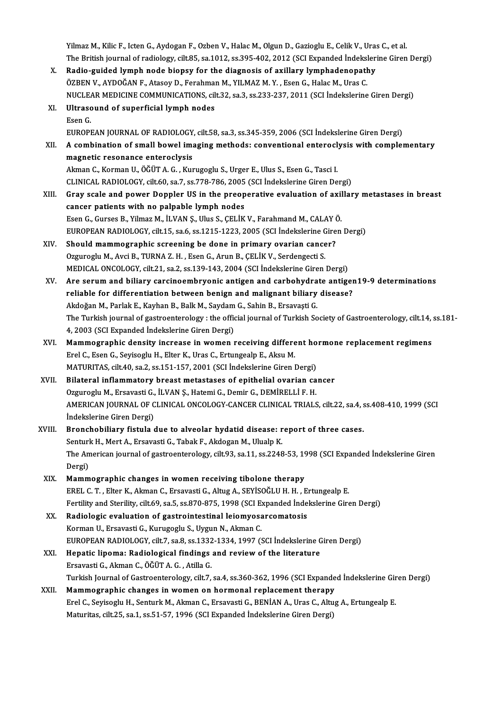Yilmaz M., Kilic F., Icten G., Aydogan F., Ozben V., Halac M., Olgun D., Gazioglu E., Celik V., Uras C., et al. The British journal of radiology, cilt.85, sa.1012, ss.395-402, 2012 (SCI Expanded İndekslerine Giren Dergi) Yilmaz M., Kilic F., Icten G., Aydogan F., Ozben V., Halac M., Olgun D., Gazioglu E., Celik V., Uras<br>The British journal of radiology, cilt.85, sa.1012, ss.395-402, 2012 (SCI Expanded Indeksleri<br>X. Radio-guided lymph node

The British journal of radiology, cilt.85, sa.1012, ss.395-402, 2012 (SCI Expanded Indeksl)<br>Radio-guided lymph node biopsy for the diagnosis of axillary lymphadenopath<br>ÖZBEN V., AYDOĞAN F., Atasoy D., Ferahman M., YILMAZ M Radio-guided lymph node biopsy for the diagnosis of axillary lymphadenopathy<br>ÖZBEN V., AYDOĞAN F., Atasoy D., Ferahman M., YILMAZ M. Y. , Esen G., Halac M., Uras C.<br>NUCLEAR MEDICINE COMMUNICATIONS, cilt.32, sa.3, ss.233-23 ÖZBEN V., AYDOĞAN F., Atasoy D., Ferahman M., YILMAZ M. Y., Esen G., Halac M., Uras C.

|        | NUCLEAR MEDICINE COMMUNICATIONS, cilt.32, sa.3, ss.233-237, 2011 (SCI İndekslerine Giren Dergi)                         |
|--------|-------------------------------------------------------------------------------------------------------------------------|
| XI.    | Ultrasound of superficial lymph nodes                                                                                   |
|        | Esen G                                                                                                                  |
|        | EUROPEAN JOURNAL OF RADIOLOGY, cilt.58, sa.3, ss.345-359, 2006 (SCI İndekslerine Giren Dergi)                           |
| XII.   | A combination of small bowel imaging methods: conventional enteroclysis with complementary                              |
|        | magnetic resonance enteroclysis                                                                                         |
|        | Akman C., Korman U., ÖĞÜT A. G., Kurugoglu S., Urger E., Ulus S., Esen G., Tasci I.                                     |
|        | CLINICAL RADIOLOGY, cilt.60, sa.7, ss.778-786, 2005 (SCI Indekslerine Giren Dergi)                                      |
| XIII.  | Gray scale and power Doppler US in the preoperative evaluation of axillary metastases in breast                         |
|        | cancer patients with no palpable lymph nodes                                                                            |
|        | Esen G., Gurses B., Yilmaz M., İLVAN Ş., Ulus S., ÇELİK V., Farahmand M., CALAY Ö.                                      |
|        | EUROPEAN RADIOLOGY, cilt.15, sa.6, ss.1215-1223, 2005 (SCI İndekslerine Giren Dergi)                                    |
| XIV.   | Should mammographic screening be done in primary ovarian cancer?                                                        |
|        | Ozguroglu M., Avci B., TURNA Z. H., Esen G., Arun B., ÇELİK V., Serdengecti S.                                          |
|        | MEDICAL ONCOLOGY, cilt.21, sa.2, ss.139-143, 2004 (SCI İndekslerine Giren Dergi)                                        |
| XV.    | Are serum and biliary carcinoembryonic antigen and carbohydrate antigen19-9 determinations                              |
|        | reliable for differentiation between benign and malignant biliary disease?                                              |
|        | Akdoğan M., Parlak E., Kayhan B., Balk M., Saydam G., Sahin B., Ersavaşti G.                                            |
|        | The Turkish journal of gastroenterology : the official journal of Turkish Society of Gastroenterology, cilt.14, ss.181- |
|        | 4, 2003 (SCI Expanded İndekslerine Giren Dergi)                                                                         |
| XVI.   | Mammographic density increase in women receiving different hormone replacement regimens                                 |
|        | Erel C., Esen G., Seyisoglu H., Elter K., Uras C., Ertungealp E., Aksu M.                                               |
|        | MATURITAS, cilt.40, sa.2, ss.151-157, 2001 (SCI İndekslerine Giren Dergi)                                               |
| XVII.  | Bilateral inflammatory breast metastases of epithelial ovarian cancer                                                   |
|        | Ozguroglu M., Ersavasti G., İLVAN Ş., Hatemi G., Demir G., DEMİRELLİ F. H.                                              |
|        | AMERICAN JOURNAL OF CLINICAL ONCOLOGY-CANCER CLINICAL TRIALS, cilt.22, sa.4, ss.408-410, 1999 (SCI                      |
|        | İndekslerine Giren Dergi)                                                                                               |
| XVIII. | Bronchobiliary fistula due to alveolar hydatid disease: report of three cases.                                          |
|        | Senturk H., Mert A., Ersavasti G., Tabak F., Akdogan M., Ulualp K.                                                      |
|        | The American journal of gastroenterology, cilt.93, sa.11, ss.2248-53, 1998 (SCI Expanded İndekslerine Giren             |
|        | Dergi)                                                                                                                  |
| XIX.   | Mammographic changes in women receiving tibolone therapy                                                                |
|        | EREL C. T., Elter K., Akman C., Ersavasti G., Altug A., SEYİSOĞLU H. H., Ertungealp E.                                  |
|        | Fertility and Sterility, cilt.69, sa.5, ss.870-875, 1998 (SCI Expanded İndekslerine Giren Dergi)                        |
| XX.    | Radiologic evaluation of gastrointestinal leiomyosarcomatosis                                                           |
|        | Korman U., Ersavasti G., Kurugoglu S., Uygun N., Akman C.                                                               |
|        | EUROPEAN RADIOLOGY, cilt.7, sa.8, ss.1332-1334, 1997 (SCI İndekslerine Giren Dergi)                                     |
| XXI.   | Hepatic lipoma: Radiological findings and review of the literature                                                      |
|        | Ersavasti G., Akman C., ÖĞÜT A. G., Atilla G.                                                                           |
|        | Turkish Journal of Gastroenterology, cilt.7, sa.4, ss.360-362, 1996 (SCI Expanded İndekslerine Giren Dergi)             |
| XXII.  | Mammographic changes in women on hormonal replacement therapy                                                           |
|        | Erel C., Seyisoglu H., Senturk M., Akman C., Ersavasti G., BENİAN A., Uras C., Altug A., Ertungealp E.                  |
|        | Maturitas, cilt.25, sa.1, ss.51-57, 1996 (SCI Expanded İndekslerine Giren Dergi)                                        |
|        |                                                                                                                         |